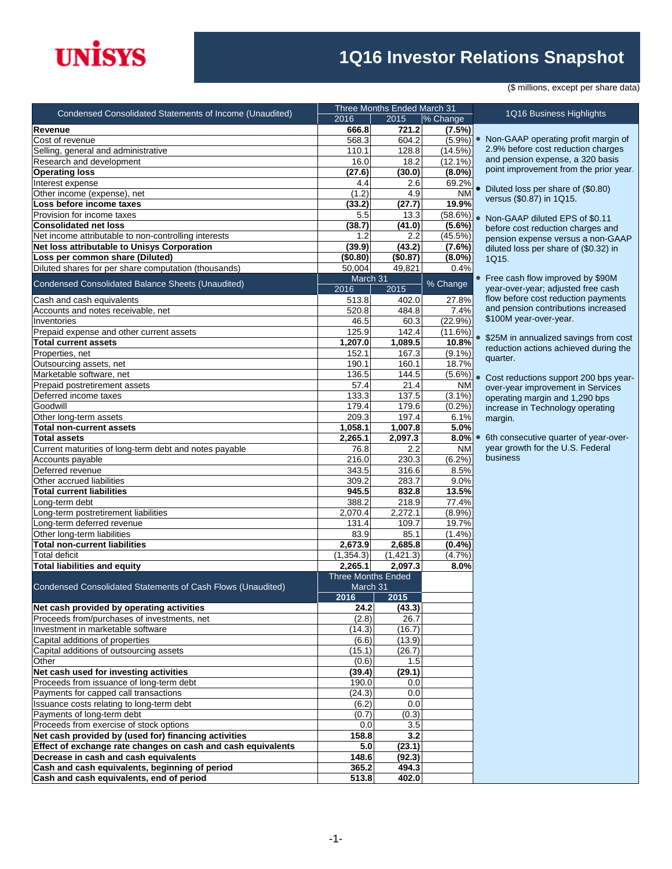## **INISYS**

## **1Q16 Investor Relations Snapshot**

(\$ millions, except per share data)

and pension expense, a 320 basis point improvement from the prior year. Diluted loss per share of (\$0.80) versus (\$0.87) in 1Q15.

 Non-GAAP diluted EPS of \$0.11 before cost reduction charges and pension expense versus a non-GAAP diluted loss per share of (\$0.32) in

 \$25M in annualized savings from cost reduction actions achieved during the

 Cost reductions support 200 bps yearover-year improvement in Services operating margin and 1,290 bps increase in Technology operating

| <b>Condensed Consolidated Statements of Income (Unaudited)</b> | Three Months Ended March 31 |           |            |                                                |  |
|----------------------------------------------------------------|-----------------------------|-----------|------------|------------------------------------------------|--|
|                                                                | 2016                        | 2015      | % Change   | 1Q16 Business Highlights                       |  |
| Revenue                                                        | 666.8                       | 721.2     | (7.5%)     |                                                |  |
| Cost of revenue                                                | 568.3                       | 604.2     | (5.9%)     | • Non-GAAP operating profit margin o           |  |
| Selling, general and administrative                            | 110.1                       | 128.8     | (14.5%)    | 2.9% before cost reduction charges             |  |
| Research and development                                       | 16.0                        | 18.2      | $(12.1\%)$ | and pension expense, a 320 basis               |  |
| <b>Operating loss</b>                                          | (27.6)                      | (30.0)    | $(8.0\%)$  | point improvement from the prior yea           |  |
| Interest expense                                               | 4.4                         | 2.6       | 69.2%      | • Diluted loss per share of (\$0.80)           |  |
| Other income (expense), net                                    | (1.2)                       | 4.9       | <b>NM</b>  | versus (\$0.87) in 1Q15.                       |  |
| Loss before income taxes                                       | (33.2)                      | (27.7)    | 19.9%      |                                                |  |
| Provision for income taxes                                     | 5.5                         | 13.3      | (58.6%)    | Non-GAAP diluted EPS of \$0.11                 |  |
| <b>Consolidated net loss</b>                                   | (38.7)                      | (41.0)    | $(5.6\%)$  | before cost reduction charges and              |  |
| Net income attributable to non-controlling interests           | 1.2                         | 2.2       | (45.5%)    | pension expense versus a non-GAA               |  |
| Net loss attributable to Unisys Corporation                    | (39.9)                      | (43.2)    | (7.6%)     | diluted loss per share of (\$0.32) in          |  |
| Loss per common share (Diluted)                                | (\$0.80)                    | (\$0.87)  | $(8.0\%)$  | 1Q15.                                          |  |
| Diluted shares for per share computation (thousands)           | 50,004                      | 49,821    | 0.4%       |                                                |  |
|                                                                | March 31                    |           |            | • Free cash flow improved by \$90M             |  |
| Condensed Consolidated Balance Sheets (Unaudited)              | 2016                        | 2015      | % Change   | year-over-year; adjusted free cash             |  |
| Cash and cash equivalents                                      | 513.8                       | 402.0     | 27.8%      | flow before cost reduction payments            |  |
| Accounts and notes receivable, net                             | 520.8                       | 484.8     | 7.4%       | and pension contributions increased            |  |
| Inventories                                                    | 46.5                        | 60.3      | (22.9%)    | \$100M year-over-year.                         |  |
| Prepaid expense and other current assets                       | 125.9                       | 142.4     | (11.6%)    |                                                |  |
| <b>Total current assets</b>                                    | 1,207.0                     | 1.089.5   | 10.8%      | \$25M in annualized savings from co            |  |
| Properties, net                                                | 152.1                       | 167.3     | $(9.1\%)$  | reduction actions achieved during th           |  |
| Outsourcing assets, net                                        | 190.1                       | 160.1     | 18.7%      | quarter.                                       |  |
| Marketable software, net                                       | 136.5                       | 144.5     |            |                                                |  |
| Prepaid postretirement assets                                  | 57.4                        | 21.4      | <b>NM</b>  | $(5.6\%)$ Cost reductions support 200 bps year |  |
| Deferred income taxes                                          | 133.3                       | 137.5     | $(3.1\%)$  | over-year improvement in Services              |  |
| Goodwill                                                       | 179.4                       | 179.6     | (0.2%)     | operating margin and 1,290 bps                 |  |
| Other long-term assets                                         | 209.3                       | 197.4     | 6.1%       | increase in Technology operating               |  |
| <b>Total non-current assets</b>                                | 1,058.1                     | 1,007.8   | 5.0%       | margin.                                        |  |
| <b>Total assets</b>                                            | 2,265.1                     | 2,097.3   | $8.0\%$    | 6th consecutive quarter of year-over           |  |
| Current maturities of long-term debt and notes payable         | 76.8                        | 2.2       | <b>NM</b>  | year growth for the U.S. Federal               |  |
| Accounts payable                                               | 216.0                       | 230.3     | (6.2%)     | business                                       |  |
| Deferred revenue                                               | 343.5                       | 316.6     | 8.5%       |                                                |  |
| Other accrued liabilities                                      | 309.2                       | 283.7     | 9.0%       |                                                |  |
| <b>Total current liabilities</b>                               |                             |           |            |                                                |  |
|                                                                | 945.5                       | 832.8     | 13.5%      |                                                |  |
| Long-term debt                                                 | 388.2                       | 218.9     | 77.4%      |                                                |  |
| Long-term postretirement liabilities                           | 2,070.4                     | 2,272.1   | (8.9%)     |                                                |  |
| Long-term deferred revenue                                     | 131.4                       | 109.7     | 19.7%      |                                                |  |
| Other long-term liabilities                                    | 83.9                        | 85.1      | (1.4%      |                                                |  |
| <b>Total non-current liabilities</b>                           | 2,673.9                     | 2,685.8   | $(0.4\%)$  |                                                |  |
| <b>Total deficit</b>                                           | (1, 354.3)                  | (1,421.3) | (4.7%)     |                                                |  |
| <b>Total liabilities and equity</b>                            | 2,265.1                     | 2,097.3   | 8.0%       |                                                |  |
|                                                                | Three Months Ended          |           |            |                                                |  |
| Condensed Consolidated Statements of Cash Flows (Unaudited)    | March 31                    |           |            |                                                |  |
|                                                                | 2016                        | 2015      |            |                                                |  |
| Net cash provided by operating activities                      | 24.2                        | (43.3)    |            |                                                |  |
| Proceeds from/purchases of investments, net                    | (2.8)                       | 26.7      |            |                                                |  |
| Investment in marketable software                              | (14.3)                      | (16.7)    |            |                                                |  |
| Capital additions of properties                                | (6.6)                       | (13.9)    |            |                                                |  |
| Capital additions of outsourcing assets                        | (15.1)                      | (26.7)    |            |                                                |  |
| Other                                                          | (0.6)                       | 1.5       |            |                                                |  |
| Net cash used for investing activities                         | (39.4)                      | (29.1)    |            |                                                |  |
| Proceeds from issuance of long-term debt                       | 190.0                       | 0.0       |            |                                                |  |
| Payments for capped call transactions                          | (24.3)                      | 0.0       |            |                                                |  |
| Issuance costs relating to long-term debt                      | (6.2)                       | 0.0       |            |                                                |  |
| Payments of long-term debt                                     | (0.7)                       | (0.3)     |            |                                                |  |
| Proceeds from exercise of stock options                        | 0.0                         | 3.5       |            |                                                |  |
| Net cash provided by (used for) financing activities           | 158.8                       | 3.2       |            |                                                |  |
| Effect of exchange rate changes on cash and cash equivalents   | 5.0                         | (23.1)    |            |                                                |  |
| Decrease in cash and cash equivalents                          | 148.6                       | (92.3)    |            |                                                |  |
| Cash and cash equivalents, beginning of period                 | 365.2                       | 494.3     |            |                                                |  |
| Cash and cash equivalents, end of period                       | 513.8                       | 402.0     |            |                                                |  |